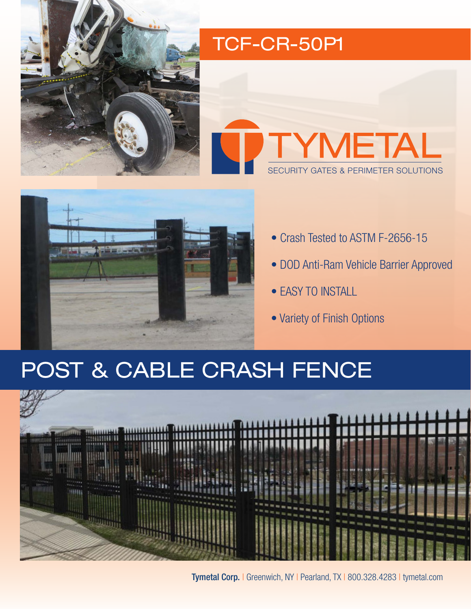

## TCF-CR-50P1





- Crash Tested to ASTM F-2656-15
- DOD Anti-Ram Vehicle Barrier Approved
- EASY TO INSTALL
- Variety of Finish Options

## POST & CABLE CRASH FENCE